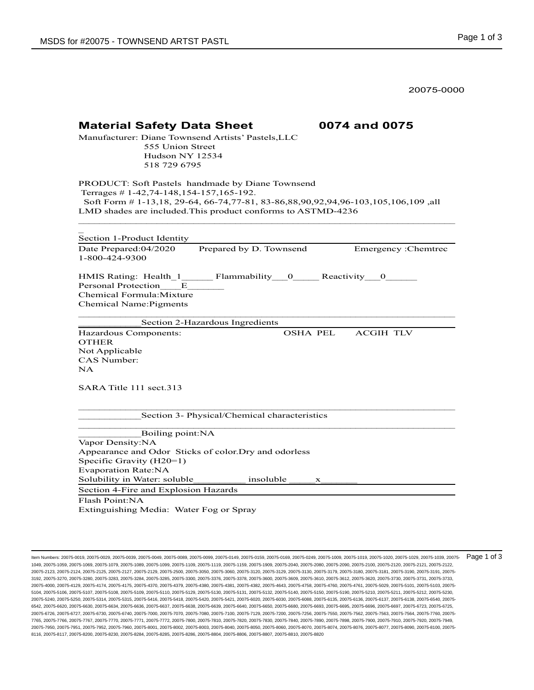20075-0000

| <b>Material Safety Data Sheet</b>                                                                                                                                                                                                                        | 0074 and 0075                       |
|----------------------------------------------------------------------------------------------------------------------------------------------------------------------------------------------------------------------------------------------------------|-------------------------------------|
| Manufacturer: Diane Townsend Artists' Pastels, LLC<br>555 Union Street<br>Hudson NY 12534<br>518 729 6795                                                                                                                                                |                                     |
| PRODUCT: Soft Pastels handmade by Diane Townsend<br>Terrages #1-42,74-148,154-157,165-192.<br>Soft Form #1-13,18, 29-64, 66-74, 77-81, 83-86, 88, 90, 92, 94, 96-103, 105, 106, 109, all<br>LMD shades are included. This product conforms to ASTMD-4236 |                                     |
| Section 1-Product Identity                                                                                                                                                                                                                               |                                     |
| Prepared by D. Townsend<br>Date Prepared:04/2020<br>1-800-424-9300                                                                                                                                                                                       | Emergency : Chemtrec                |
| HMIS Rating: Health 1 Flammability 0 Reactivity 0<br>Personal Protection E<br>Chemical Formula: Mixture<br><b>Chemical Name:Pigments</b>                                                                                                                 |                                     |
| Section 2-Hazardous Ingredients                                                                                                                                                                                                                          |                                     |
| Hazardous Components:<br><b>OTHER</b><br>Not Applicable<br>CAS Number:<br>NA                                                                                                                                                                             | <b>OSHA PEL</b><br><b>ACGIH TLV</b> |
| SARA Title 111 sect.313                                                                                                                                                                                                                                  |                                     |
| Section 3- Physical/Chemical characteristics                                                                                                                                                                                                             |                                     |
| Boiling point:NA<br>Vapor Density:NA<br>Appearance and Odor Sticks of color. Dry and odorless<br>Specific Gravity (H20=1)<br><b>Evaporation Rate:NA</b>                                                                                                  |                                     |
| Solubility in Water: soluble<br>insoluble<br>Section 4-Fire and Explosion Hazards                                                                                                                                                                        | x                                   |
| Flash Point:NA                                                                                                                                                                                                                                           |                                     |
| Extinguishing Media: Water Fog or Spray                                                                                                                                                                                                                  |                                     |

ltem Numbers: 20075-0019, 20075-0029, 20075-0039, 20075-0049, 20075-0089, 20075-0149, 20075-0159, 20075-0169, 20075-1009, 20075-1019, 20075-1029, 20075-1029, 20075-1029, 20075-1029, 20075-1029, 20075-1029, 20075-1029, 2007 1049, 20075-1059, 20075-1069, 20075-1079, 20075-1089, 20075-1099, 20075-1109, 20075-1119, 20075-1159, 20075-1909, 20075-2040, 20075-2080, 20075-2090, 20075-2100, 20075-2120, 20075-2121, 20075-2122, 20075-2123, 20075-2124, 20075-2125, 20075-2127, 20075-2129, 20075-2500, 20075-3050, 20075-3060, 20075-3120, 20075-3129, 20075-3130, 20075-3179, 20075-3180, 20075-3181, 20075-3190, 20075-3191, 20075- 3192, 20075-3270, 20075-3280, 20075-3283, 20075-3284, 20075-3285, 20075-3300, 20075-3376, 20075-3378, 20075-3600, 20075-3609, 20075-3610, 20075-3612, 20075-3620, 20075-3730, 20075-3731, 20075-3733, 20075-4000, 20075-4129, 20075-4174, 20075-4175, 20075-4370, 20075-4379, 20075-4380, 20075-4381, 20075-4382, 20075-4643, 20075-4758, 20075-4760, 20075-4761, 20075-5029, 20075-5101, 20075-5103, 20075- 5104, 20075-5106, 20075-5107, 20075-5108, 20075-5109, 20075-5110, 20075-5129, 20075-5130, 20075-5131, 20075-5132, 20075-5140, 20075-5150, 20075-5190, 20075-5210, 20075-5211, 20075-5212, 20075-5230, 20075-5240, 20075-5250, 20075-5314, 20075-5315, 20075-5416, 20075-5418, 20075-5420, 20075-5421, 20075-6020, 20075-6030, 20075-6088, 20075-6135, 20075-6136, 20075-6137, 20075-6138, 20075-6540, 20075- 6542, 20075-6620, 20075-6630, 20075-6634, 20075-6636, 20075-6639, 20075-6639, 20075-6640, 20075-6650, 20075-6680, 20075-6693, 20075-6696, 20075-6697, 20075-6723, 20075-6725, 20075-6726, 20075-6727, 20075-6730, 20075-6740, 20075-7000, 20075-7070, 20075-7080, 20075-7100, 20075-7129, 20075-7200, 20075-7256, 20075-7550, 20075-7562, 20075-7563, 20075-7564, 20075-7760, 20075- 7765, 20075-7766, 20075-7767, 20075-7770, 20075-7771, 20075-7772, 20075-7800, 20075-7810, 20075-7820, 20075-7830, 20075-7840, 20075-7890, 20075-7898, 20075-7900, 20075-7910, 20075-7920, 20075-7949, 20075-7950, 20075-7951, 20075-7952, 20075-7960, 20075-8001, 20075-8002, 20075-8003, 20075-8040, 20075-8050, 20075-8060, 20075-8070, 20075-8074, 20075-8076, 20075-8077, 20075-8090, 20075-8100, 20075- 8116, 20075-8117, 20075-8200, 20075-8230, 20075-8284, 20075-8285, 20075-8286, 20075-8804, 20075-8806, 20075-8807, 20075-8810, 20075-8820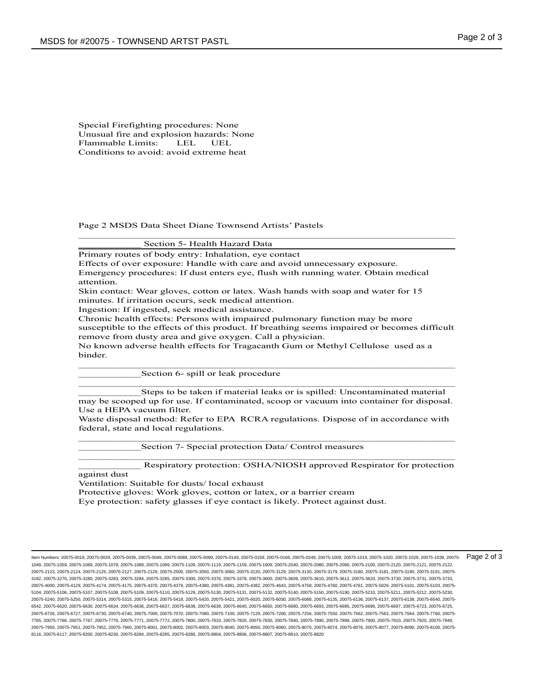Special Firefighting procedures: None Unusual fire and explosion hazards: None Flammable Limits: LEL UEL Conditions to avoid: avoid extreme heat

Page 2 MSDS Data Sheet Diane Townsend Artists' Pastels \_\_\_\_\_\_\_\_\_\_\_\_\_\_\_\_\_\_\_\_\_\_\_\_\_\_\_\_\_\_\_\_\_\_\_\_\_\_\_\_\_\_\_\_\_\_\_\_\_\_\_\_\_\_\_\_\_\_\_\_\_\_\_\_\_\_\_\_\_\_\_\_

Section 5- Health Hazard Data

Primary routes of body entry: Inhalation, eye contact

Effects of over exposure: Handle with care and avoid unnecessary exposure. Emergency procedures: If dust enters eye, flush with running water. Obtain medical attention.

Skin contact: Wear gloves, cotton or latex. Wash hands with soap and water for 15 minutes. If irritation occurs, seek medical attention.

Ingestion: If ingested, seek medical assistance.

Chronic health effects: Persons with impaired pulmonary function may be more susceptible to the effects of this product. If breathing seems impaired or becomes difficult remove from dusty area and give oxygen. Call a physician.

No known adverse health effects for Tragacanth Gum or Methyl Cellulose used as a binder. \_\_\_\_\_\_\_\_\_\_\_\_\_\_\_\_\_\_\_\_\_\_\_\_\_\_\_\_\_\_\_\_\_\_\_\_\_\_\_\_\_\_\_\_\_\_\_\_\_\_\_\_\_\_\_\_\_\_\_\_\_\_\_\_\_\_\_\_\_\_\_\_

Section 6- spill or leak procedure \_\_\_\_\_\_\_\_\_\_\_\_\_\_\_\_\_\_\_\_\_\_\_\_\_\_\_\_\_\_\_\_\_\_\_\_\_\_\_\_\_\_\_\_\_\_\_\_\_\_\_\_\_\_\_\_\_\_\_\_\_\_\_\_\_\_\_\_\_\_\_\_

\_\_\_\_\_\_\_\_\_\_\_\_Steps to be taken if material leaks or is spilled: Uncontaminated material may be scooped up for use. If contaminated, scoop or vacuum into container for disposal. Use a HEPA vacuum filter.

Waste disposal method: Refer to EPA RCRA regulations. Dispose of in accordance with federal, state and local regulations.  $\overline{\phantom{a}}$  ,  $\overline{\phantom{a}}$  ,  $\overline{\phantom{a}}$  ,  $\overline{\phantom{a}}$  ,  $\overline{\phantom{a}}$  ,  $\overline{\phantom{a}}$  ,  $\overline{\phantom{a}}$  ,  $\overline{\phantom{a}}$  ,  $\overline{\phantom{a}}$  ,  $\overline{\phantom{a}}$  ,  $\overline{\phantom{a}}$  ,  $\overline{\phantom{a}}$  ,  $\overline{\phantom{a}}$  ,  $\overline{\phantom{a}}$  ,  $\overline{\phantom{a}}$  ,  $\overline{\phantom{a}}$ 

Section 7- Special protection Data/ Control measures \_\_\_\_\_\_\_\_\_\_\_\_\_\_\_\_\_\_\_\_\_\_\_\_\_\_\_\_\_\_\_\_\_\_\_\_\_\_\_\_\_\_\_\_\_\_\_\_\_\_\_\_\_\_\_\_\_\_\_\_\_\_\_\_\_\_\_\_\_\_\_\_

Respiratory protection: OSHA/NIOSH approved Respirator for protection

against dust

Ventilation: Suitable for dusts/ local exhaust

Protective gloves: Work gloves, cotton or latex, or a barrier cream

Eye protection: safety glasses if eye contact is likely. Protect against dust.

Item Numbers: 20075-0019, 20075-0029, 20075-0039, 20075-0049, 20075-0089, 20075-0099, 20075-0149, 20075-0159, 20075-0169, 20075-0249, 20075-1009, 20075-1019, 20075-1020, 20075-1029, 20075-1039, 20075- 1049, 20075-1059, 20075-1069, 20075-1079, 20075-1089, 20075-1099, 20075-1109, 20075-1119, 20075-1159, 20075-1909, 20075-2040, 20075-2080, 20075-2090, 20075-2100, 20075-2120, 20075-2121, 20075-2122, 20075-2123, 20075-2124, 20075-2125, 20075-2127, 20075-2129, 20075-2500, 20075-3050, 20075-3060, 20075-3120, 20075-3129, 20075-3130, 20075-3179, 20075-3180, 20075-3181, 20075-3190, 20075-3191, 20075- 3192, 20075-3270, 20075-3280, 20075-3283, 20075-3284, 20075-3285, 20075-3300, 20075-3376, 20075-3378, 20075-3600, 20075-3609, 20075-3610, 20075-3612, 20075-3620, 20075-3730, 20075-3731, 20075-3733, 20075-4000, 20075-4129, 20075-4174, 20075-4175, 20075-4370, 20075-4379, 20075-4380, 20075-4381, 20075-4382, 20075-4643, 20075-4758, 20075-4760, 20075-4761, 20075-5029, 20075-5101, 20075-5103, 20075- 5104, 20075-5106, 20075-5107, 20075-5108, 20075-5109, 20075-5110, 20075-5129, 20075-5130, 20075-5131, 20075-5132, 20075-5140, 20075-5150, 20075-5190, 20075-5210, 20075-5211, 20075-5212, 20075-5230, 20075-5240, 20075-5250, 20075-5314, 20075-5315, 20075-5416, 20075-5418, 20075-5420, 20075-5421, 20075-6020, 20075-6030, 20075-6088, 20075-6135, 20075-6136, 20075-6137, 20075-6138, 20075-6540, 20075- 6542, 20075-6620, 20075-6630, 20075-6634, 20075-6636, 20075-6638, 20075-6639, 20075-6640, 20075-6650, 20075-6680, 20075-6693, 20075-6695, 20075-6696, 20075-6697, 20075-6697, 20075-669, 20075-6698, 20075-6698, 20075-6698, 20 20075-6726, 20075-6727, 20075-6730, 20075-6740, 20075-7000, 20075-7070, 20075-7080, 20075-7100, 20075-7129, 20075-7200, 20075-7256, 20075-7550, 20075-7562, 20075-7563, 20075-7564, 20075-7760, 20075- 7765, 20075-7766, 20075-7767, 20075-7770, 20075-7771, 20075-7772, 20075-7800, 20075-7810, 20075-7820, 20075-7830, 20075-7840, 20075-7890, 20075-7898, 20075-7900, 20075-7910, 20075-7920, 20075-7949, 20075-7950, 20075-7951, 20075-7952, 20075-7960, 20075-8001, 20075-8002, 20075-8003, 20075-8040, 20075-8050, 20075-8060, 20075-8070, 20075-8074, 20075-8076, 20075-8077, 20075-8090, 20075-8100, 20075- 8116, 20075-8117, 20075-8200, 20075-8230, 20075-8284, 20075-8285, 20075-8286, 20075-8804, 20075-8806, 20075-8807, 20075-8810, 20075-8820 Page 2 of 3